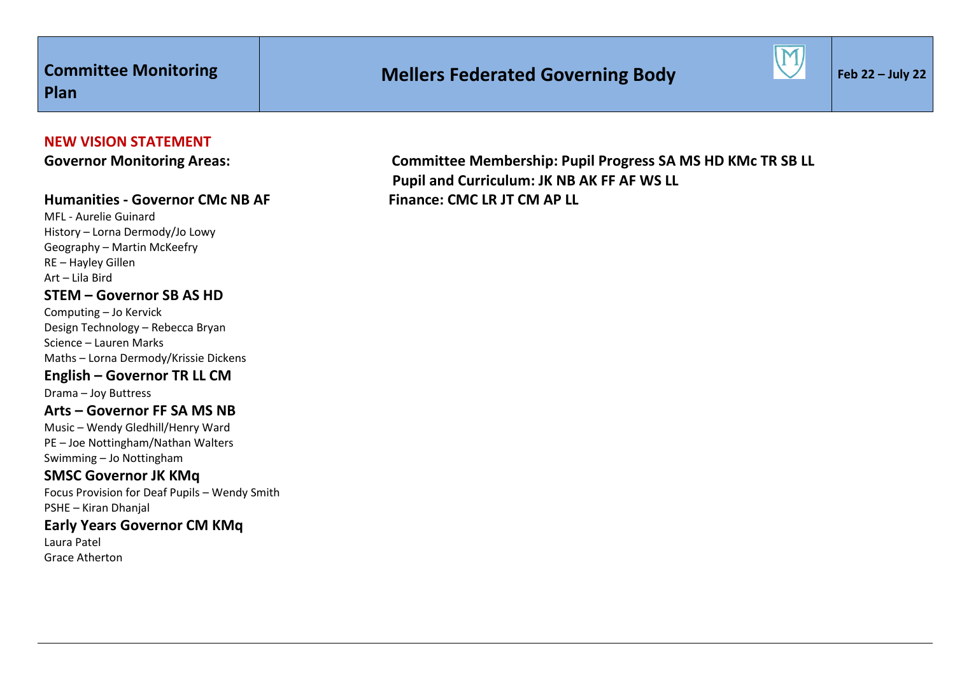# **Mellers Federated Governing Body**



# **NEW VISION STATEMENT**

### **Humanities - Governor CMc NB AF Finance: CMC LR JT CM AP LL**

MFL - Aurelie Guinard History – Lorna Dermody/Jo Lowy Geography – Martin McKeefry RE – Hayley Gillen Art – Lila Bird **STEM – Governor SB AS HD**

Computing – Jo Kervick Design Technology – Rebecca Bryan Science – Lauren Marks Maths – Lorna Dermody/Krissie Dickens **English – Governor TR LL CM**

Drama – Joy Buttress

#### **Arts – Governor FF SA MS NB**

Music – Wendy Gledhill/Henry Ward PE – Joe Nottingham/Nathan Walters Swimming – Jo Nottingham

# **SMSC Governor JK KMq**

Focus Provision for Deaf Pupils – Wendy Smith PSHE – Kiran Dhanjal

# **Early Years Governor CM KMq**

Laura Patel Grace Atherton

Governor Monitoring Areas: **Committee Membership: Pupil Progress SA MS HD KMc TR SB LL Pupil and Curriculum: JK NB AK FF AF WS LL**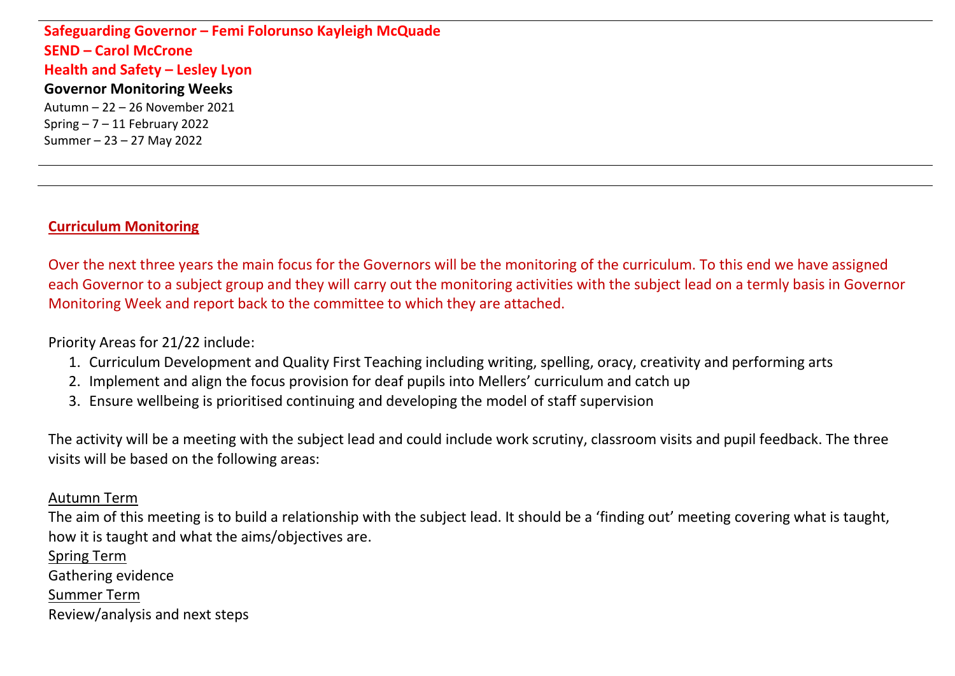**Safeguarding Governor – Femi Folorunso Kayleigh McQuade SEND – Carol McCrone Health and Safety – Lesley Lyon Governor Monitoring Weeks** Autumn – 22 – 26 November 2021 Spring  $-7 - 11$  February 2022 Summer – 23 – 27 May 2022

# **Curriculum Monitoring**

Over the next three years the main focus for the Governors will be the monitoring of the curriculum. To this end we have assigned each Governor to a subject group and they will carry out the monitoring activities with the subject lead on a termly basis in Governor Monitoring Week and report back to the committee to which they are attached.

Priority Areas for 21/22 include:

- 1. Curriculum Development and Quality First Teaching including writing, spelling, oracy, creativity and performing arts
- 2. Implement and align the focus provision for deaf pupils into Mellers' curriculum and catch up
- 3. Ensure wellbeing is prioritised continuing and developing the model of staff supervision

The activity will be a meeting with the subject lead and could include work scrutiny, classroom visits and pupil feedback. The three visits will be based on the following areas:

# Autumn Term

The aim of this meeting is to build a relationship with the subject lead. It should be a 'finding out' meeting covering what is taught, how it is taught and what the aims/objectives are.

Spring Term Gathering evidence Summer Term Review/analysis and next steps